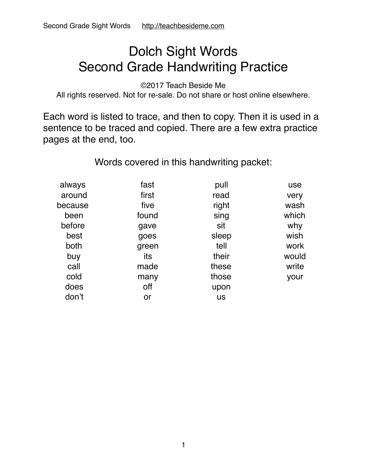#### Dolch Sight Words Second Grade Handwriting Practice

©2017 Teach Beside Me

All rights reserved. Not for re-sale. Do not share or host online elsewhere.

Each word is listed to trace, and then to copy. Then it is used in a sentence to be traced and copied. There are a few extra practice pages at the end, too.

Words covered in this handwriting packet:

| always  | fast  | pull      | use   |
|---------|-------|-----------|-------|
| around  | first | read      | very  |
| because | five  | right     | wash  |
| been    | found | sing      | which |
| before  | gave  | sit       | why   |
| best    | goes  | sleep     | wish  |
| both    | green | tell      | work  |
| buy     | its   | their     | would |
| call    | made  | these     | write |
| cold    | many  | those     | your  |
| does    | off   | upon      |       |
| don't   | or    | <b>us</b> |       |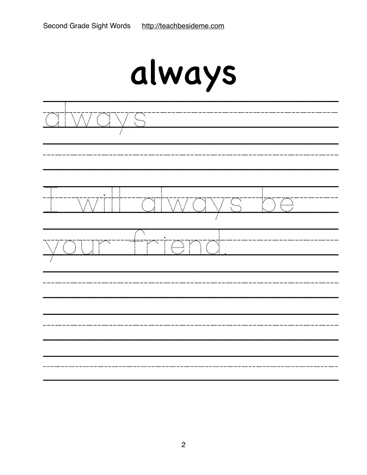| always                                                                              |  |  |
|-------------------------------------------------------------------------------------|--|--|
| į.                                                                                  |  |  |
| ZT.<br>$\mathcal{E}$<br>Â,<br>$\Delta_{\rm g}$<br>٠,<br>$\cdot$ .                   |  |  |
| Τ<br>:'<br>mç.<br>P<br>Ν<br>$\mathcal{L}$<br>V<br>$\mathcal{E}_{\mathcal{E}}$<br>٠. |  |  |
|                                                                                     |  |  |
|                                                                                     |  |  |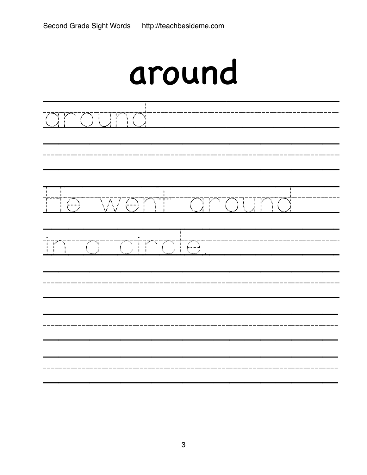| TO<br>$\overline{\text{OU}}$ in                          |  |
|----------------------------------------------------------|--|
| TIC<br><u>WONT</u><br><u>around</u>                      |  |
| $\overline{\mathbb{C}}$<br><u>omoto</u><br>istoria.<br>E |  |
|                                                          |  |
|                                                          |  |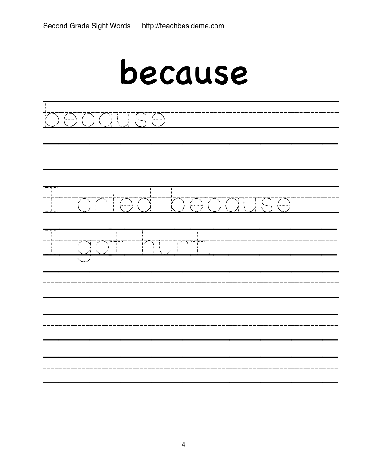### because

| <u> XOOQUSO</u>                 |  |
|---------------------------------|--|
| <u>oniod because</u>            |  |
| प्लक्<br>JT<br>$\sum_{i=1}^{n}$ |  |
|                                 |  |
|                                 |  |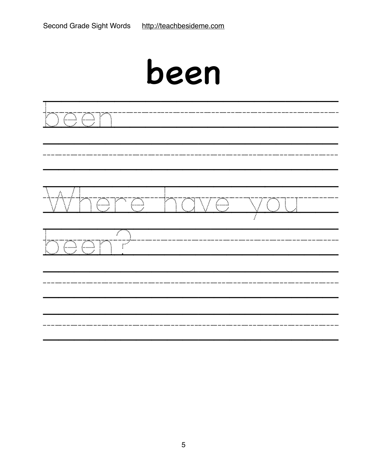| A<br>Te<br>$\overline{\mathbb{C}}$<br>P<br>Y. | $\mathbb{R}$<br>$\sum_{i=1}^{n}$<br>$\bigoplus$ | $\bigcirc$ |
|-----------------------------------------------|-------------------------------------------------|------------|
| 7<br>٦<br><b>JOOTT</b><br>Y                   |                                                 |            |
|                                               |                                                 |            |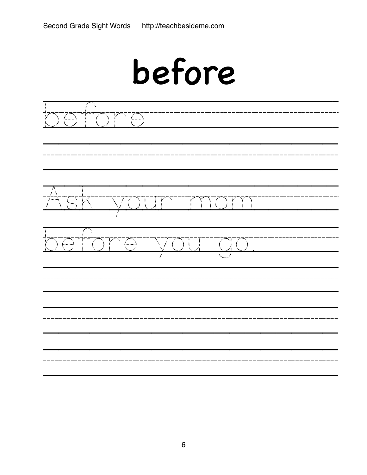| before                                                                                                   |  |  |
|----------------------------------------------------------------------------------------------------------|--|--|
| Σ<br>ŕ<br>Ņ,<br>$\sum_{i=1}^n$                                                                           |  |  |
| ٦<br>٦.<br>Ţ                                                                                             |  |  |
| Σ<br>क्न<br>र<br>rva<br>$\sim$<br>$\mathcal{F}$<br>$\mathcal{L}$<br>$\mathcal{L}$<br>$\bar{\mathcal{L}}$ |  |  |
|                                                                                                          |  |  |
|                                                                                                          |  |  |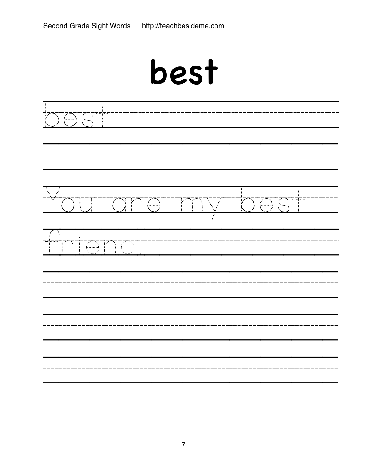| Ť<br><u> 1000 - 100 - 100 - 100 - 100 - 100 - 100 - 100 - 100 - 100 - 100 - 100 - 100 - 100 - 100 - 100 - 100 - 100 -</u>                                                 |               |                            |                                                                                                                      |  |
|---------------------------------------------------------------------------------------------------------------------------------------------------------------------------|---------------|----------------------------|----------------------------------------------------------------------------------------------------------------------|--|
| <b>TITU</b>                                                                                                                                                               | <u>torras</u> | $\sum_{i=1}^n \frac{1}{i}$ | <u> 1000 - 1000 - 1000 - 1000 - 1000 - 1000 - 1000 - 1000 - 1000 - 1000 - 1000 - 1000 - 1000 - 1000 - 1000 - 100</u> |  |
| र प<br>$\frac{1}{2}$ , $\frac{1}{2}$ , $\frac{1}{2}$ , $\frac{1}{2}$ , $\frac{1}{2}$ , $\frac{1}{2}$ , $\frac{1}{2}$ , $\frac{1}{2}$<br><b>TOT</b><br>$\mathbb{F}^*$<br>Σ | TO            |                            |                                                                                                                      |  |
|                                                                                                                                                                           |               |                            |                                                                                                                      |  |
|                                                                                                                                                                           |               |                            |                                                                                                                      |  |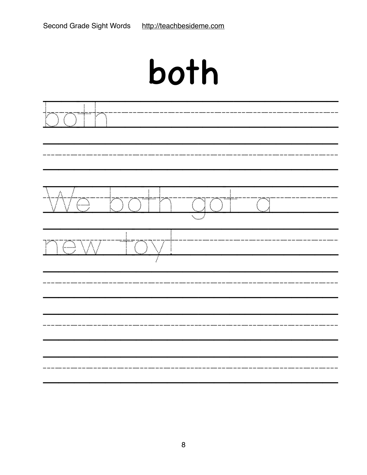| both                                   |                 |  |
|----------------------------------------|-----------------|--|
|                                        |                 |  |
| Á<br>Ť<br>7<br>Z.<br>F.<br>Ţ<br>V<br>٦ | ŕ<br>$\ddot{ }$ |  |
| $\langle  \rangle$<br>$\mathcal{S}$    |                 |  |
|                                        |                 |  |
|                                        |                 |  |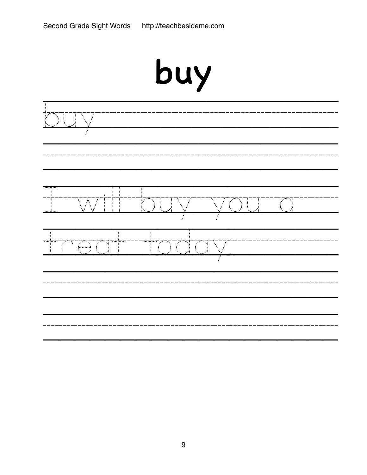| Ą                        | J. | $\mathbb{R}^m$ |
|--------------------------|----|----------------|
| ۰.<br>j<br>$\mathcal{L}$ |    |                |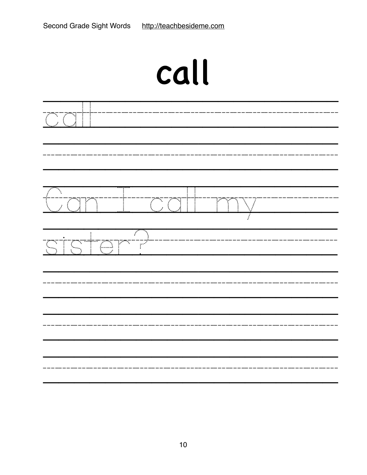# call

| $\mathbb{C}\mathbb{C}\mathbb{I}$ . |            |                          |  |
|------------------------------------|------------|--------------------------|--|
| Can-                               |            | i<br>I<br>$\bigvee$<br>Ĭ |  |
| <u>STSTOM</u>                      | Tari<br>Si |                          |  |
|                                    |            |                          |  |
|                                    |            |                          |  |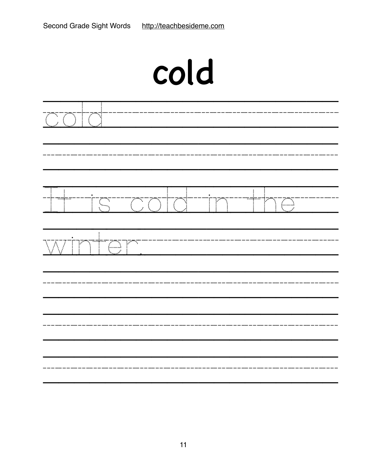| cold                                                                                                 |
|------------------------------------------------------------------------------------------------------|
| Ţ<br>्<br>$\sum_{i=1}^{n}$                                                                           |
| $\sqrt{ }$<br>.<br>-<br>-<br>$\mathbb{F}$<br>$\sum_{i=1}^{n}$<br>$\overline{C}$ $\overline{C}$<br>ŗШ |
| TØ<br>٠.<br>$\ddot{\phantom{a}}$                                                                     |
|                                                                                                      |
|                                                                                                      |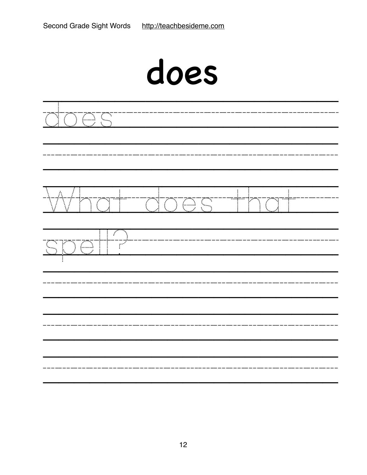|                                                                               | does                                                                                        |        |
|-------------------------------------------------------------------------------|---------------------------------------------------------------------------------------------|--------|
| ٠,<br>$\bigoplus$                                                             |                                                                                             |        |
| $\sum_{i=1}^{n}$<br>i.                                                        | N<br>٦<br>$\epsilon$<br>$\tilde{\mathcal{L}}$<br>$\mathcal{L}_{\mathcal{A}}$<br>$\bigoplus$ | Ţ<br>Ì |
| $\mathcal{F}$<br>$\overline{\mathbb{C}}$<br>$\tilde{\mathbb{P}}^{\mathbb{R}}$ |                                                                                             |        |
|                                                                               |                                                                                             |        |
|                                                                               |                                                                                             |        |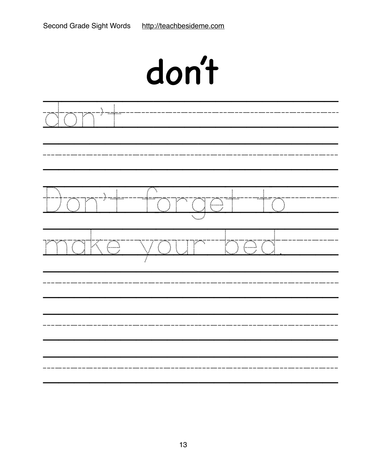|                               | don't                                                                 |
|-------------------------------|-----------------------------------------------------------------------|
| ٦<br>$\tilde{\mathcal{L}}$    |                                                                       |
| ٦                             | ٦<br>IC<br>Ņ,<br>i.                                                   |
| $\leftarrow$<br>$ \triangle $ | ٦.<br>$\left(\begin{matrix} 1 & 1 \\ 1 & 1 \end{matrix}\right)$<br>S. |
|                               |                                                                       |
|                               |                                                                       |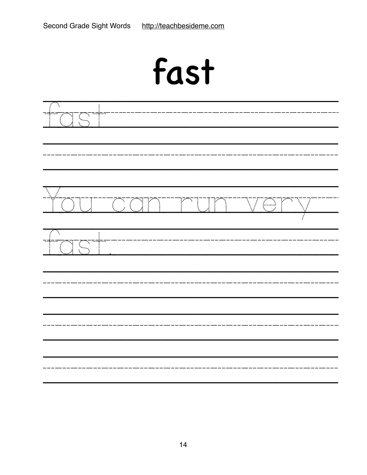| fast                                                                                        |                   |
|---------------------------------------------------------------------------------------------|-------------------|
| ۰.                                                                                          |                   |
| $\overline{Z}^{\overline{m}\overline{N}}$<br>$\overline{\mathbb{C}}$ ,<br>٧<br>Y<br>Ń.<br>٦ | ۰.<br>$\subseteq$ |
| ×.<br>٠.<br>÷                                                                               |                   |
|                                                                                             |                   |
|                                                                                             |                   |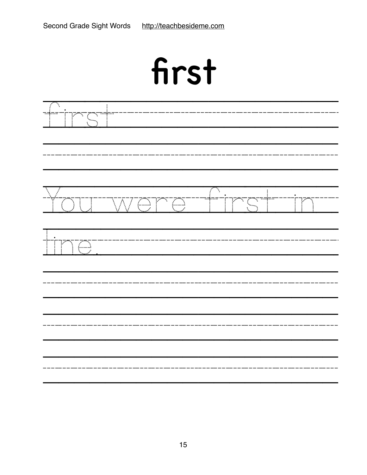| first                                                                                                                                                                                                                                                                                                                                                                                                           |                                 |        |
|-----------------------------------------------------------------------------------------------------------------------------------------------------------------------------------------------------------------------------------------------------------------------------------------------------------------------------------------------------------------------------------------------------------------|---------------------------------|--------|
| ٦                                                                                                                                                                                                                                                                                                                                                                                                               |                                 |        |
| $\overline{Z}^{\frac{1}{m}}\sum_{i=1}^{m-1}\frac{1}{n} \sum_{i=1}^{n} \left( \frac{1}{n} \sum_{i=1}^{n} \frac{1}{n} \right)^{n} \left( \frac{1}{n} \sum_{i=1}^{n} \frac{1}{n} \right)^{n} \left( \frac{1}{n} \sum_{i=1}^{n} \frac{1}{n} \right)^{n} \left( \frac{1}{n} \sum_{i=1}^{n} \frac{1}{n} \sum_{i=1}^{n} \frac{1}{n} \right)^{n} \left( \frac{1}{n} \sum_{i=1}^{n} \frac{1}{n} \sum$<br>ry yn<br>W<br>Ø | ستۇست $\frac{1}{2}$<br>N.<br>۰, | V<br>٦ |
| $\leftarrow$<br>Ì                                                                                                                                                                                                                                                                                                                                                                                               |                                 |        |
|                                                                                                                                                                                                                                                                                                                                                                                                                 |                                 |        |
|                                                                                                                                                                                                                                                                                                                                                                                                                 |                                 |        |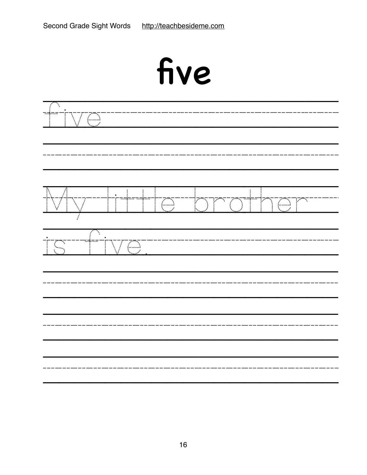| Σ<br><u></u><br><u>VC</u>                                    |                                                                |                                          |                                      |           |
|--------------------------------------------------------------|----------------------------------------------------------------|------------------------------------------|--------------------------------------|-----------|
| $\bigvee\bigwedge$<br>$\nabla /$<br>$\overline{\phantom{a}}$ | Î<br>$\begin{array}{c} \vdots \\ \vdots \\ \vdots \end{array}$ | $\mathbb{C}$<br>T<br>L<br>$\mathbb{R}^2$ | $\sum_{i=1}^{n}$<br>Ť<br>ľ<br>T<br>ł | T.<br>TOT |
| -i--<br>Ţ.<br>$\ddot{\ddot{\cdot}}$                          | VG                                                             |                                          |                                      |           |
|                                                              |                                                                |                                          |                                      |           |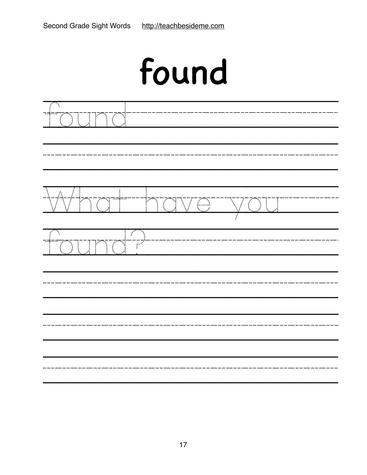|                                                                | found              |   |  |
|----------------------------------------------------------------|--------------------|---|--|
| ÷.<br>$\sum_{i=1}^n$<br>ŗ<br>$\ddot{\ddot{\phantom{a}}}\!\!\!$ |                    |   |  |
| \7™<br>}`{<br>S.                                               | na<br>VG           | Ţ |  |
| ٦<br>$\sum_{i=1}^{n}$<br>Ţ<br>$\prod_{i=1}^{n}$<br>i<br>I      | i.<br>$\mathbb{R}$ |   |  |
|                                                                |                    |   |  |
|                                                                |                    |   |  |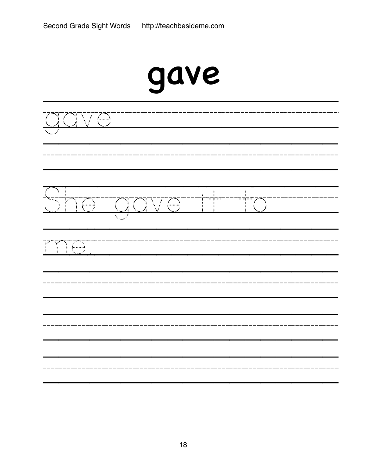|                                                                                                                | gave                      |       |                                             |  |
|----------------------------------------------------------------------------------------------------------------|---------------------------|-------|---------------------------------------------|--|
| Œ<br>$\mathbb{R}^3$                                                                                            |                           |       |                                             |  |
| Ń.<br>tana.<br>Tanàna amin'ny faritr'i No<br>V<br>$\sum_{i=1}^{n}$<br>$\bigvee$<br>$\ddot{ }$<br>$\mathcal{L}$ | $\overline{\mathbb{C}^3}$ | major | $\overline{\cdots}$<br>$\mathbb{Z}^m$<br>Ñ. |  |
| $\overline{\mathcal{L}}$<br>١<br>۷<br>فوا                                                                      |                           |       |                                             |  |
|                                                                                                                |                           |       |                                             |  |
|                                                                                                                |                           |       |                                             |  |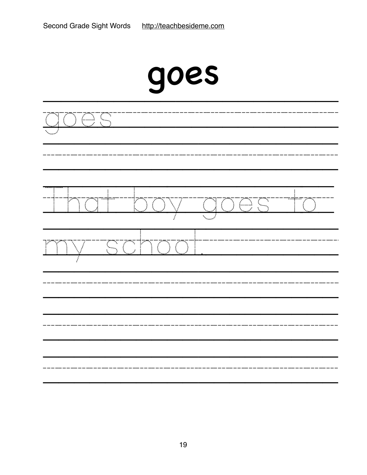|               |                    |                            | goes                           |                                 |         |
|---------------|--------------------|----------------------------|--------------------------------|---------------------------------|---------|
| $\frac{1}{4}$ | $\oplus$           | $\mathcal{L}_{\text{max}}$ |                                |                                 |         |
|               | $\sim$<br>×.<br>Ñ. |                            | $\mathcal{C}$<br>$\mathcal{L}$ | <b>TOTS</b><br>$\sum_{i=1}^{n}$ | rgreyey |
|               |                    |                            | NT T<br>Ţ                      |                                 |         |
|               |                    |                            |                                |                                 |         |
|               |                    |                            |                                |                                 |         |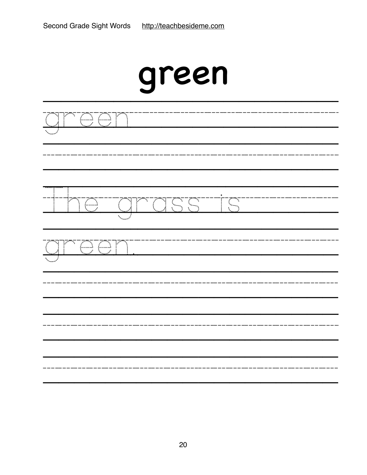| green                                                |
|------------------------------------------------------|
| O C<br>Ì,                                            |
| Œ<br>동동<br>Y<br>TO<br>Œ<br>N,<br>ŧ.                  |
| N,<br>$\overline{\mathbb{CP}}$<br>١<br>$\mathcal{L}$ |
|                                                      |
|                                                      |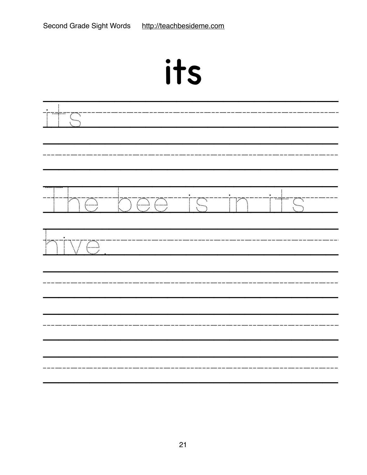| $\blacktriangleright$<br>$\blacktriangleright$ |
|------------------------------------------------|
|                                                |

|                                      | <u>ima totalist</u> | TM | ٦<br>Ç |  |
|--------------------------------------|---------------------|----|--------|--|
| ŀ<br><u>VI</u> S<br>$\sum_{i=1}^{n}$ |                     |    |        |  |
|                                      |                     |    |        |  |
|                                      |                     |    |        |  |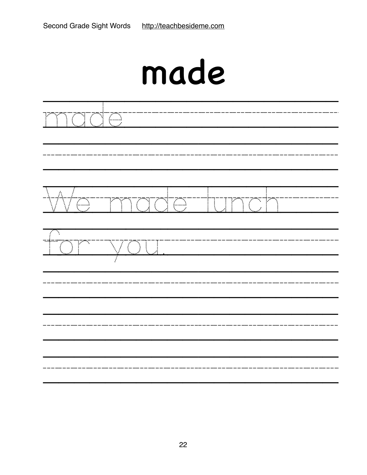## made

| <u>nado</u> |                                            |  |
|-------------|--------------------------------------------|--|
| <b>Me</b>   | <u>  "mado" junch</u>                      |  |
| ) in        | $\sum_{i=1}^n \mathbb{I}_i$<br>$\bigvee$ ( |  |
|             |                                            |  |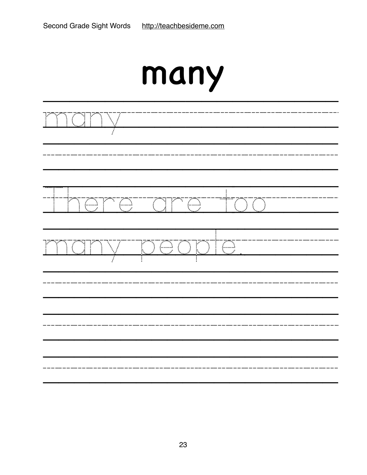| $\frac{1}{2}$       |                       |  |
|---------------------|-----------------------|--|
|                     | <u>Imperatore too</u> |  |
| Jr<br>$\frac{1}{2}$ | <u>iv poopte</u>      |  |
|                     |                       |  |
|                     |                       |  |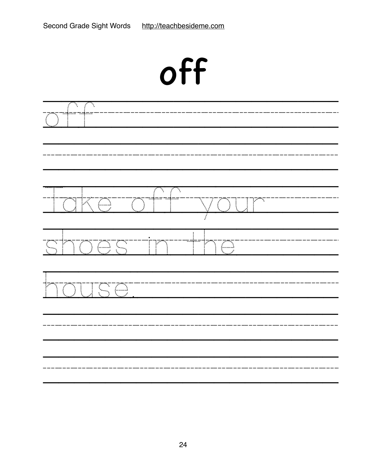| off                                                                                                                                                                               |  |  |  |  |
|-----------------------------------------------------------------------------------------------------------------------------------------------------------------------------------|--|--|--|--|
| $\overline{\mathcal{F}}$<br>Ņ.                                                                                                                                                    |  |  |  |  |
| ٦<br>١.<br>f<br>$\mathbb{R}^{n_{\nabla}}$<br>$\mathcal{L}^{\mathcal{P}^{\mathbf{a}}}$<br>$\mathbb{K}$<br>Œ<br>$\sum_{i=1}^{n}$<br>$\ddot{\ddot{\phantom{a}}}\,\ddot{\phantom{a}}$ |  |  |  |  |
| --------<br>!<br>$\mathbb{C}$<br>TOG<br>$\overline{\mathbb{C}}$<br>ST<br>ł.<br>$\sum_{i=1}^{n}$                                                                                   |  |  |  |  |
| $\overline{\mathbb{C}}$<br>$\mathbb{Z}^{\mathbb{Z}}$                                                                                                                              |  |  |  |  |
|                                                                                                                                                                                   |  |  |  |  |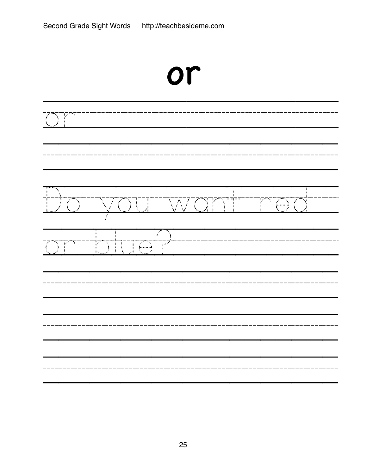|                                             |                                                                                                                                                                                                                                                                                                                                                          | or                                     |                                                                                                                     |
|---------------------------------------------|----------------------------------------------------------------------------------------------------------------------------------------------------------------------------------------------------------------------------------------------------------------------------------------------------------------------------------------------------------|----------------------------------------|---------------------------------------------------------------------------------------------------------------------|
| Τ                                           |                                                                                                                                                                                                                                                                                                                                                          |                                        |                                                                                                                     |
| $\mathbb{Z}^\infty$                         | $\mathcal{L}$                                                                                                                                                                                                                                                                                                                                            | Ť<br>$\mathop{\nabla\!}\nolimits$<br>Ţ | $\overline{\left(\begin{smallmatrix} 0\\ 1\\ 1\\ 1 \end{smallmatrix}\right)}$<br>्राण्या<br>。<br>[<br>$\mathcal{L}$ |
| $\mathcal{L}_{\mathcal{L}}$<br>F<br>ri<br>B | 7<br>$\begin{bmatrix} 1 & 1 & 1 \\ 1 & 1 & 1 \\ 1 & 1 & 1 \\ 1 & 1 & 1 \\ 1 & 1 & 1 \\ 1 & 1 & 1 \\ 1 & 1 & 1 \\ 1 & 1 & 1 \\ 1 & 1 & 1 \\ 1 & 1 & 1 \\ 1 & 1 & 1 \\ 1 & 1 & 1 \\ 1 & 1 & 1 \\ 1 & 1 & 1 \\ 1 & 1 & 1 \\ 1 & 1 & 1 \\ 1 & 1 & 1 \\ 1 & 1 & 1 \\ 1 & 1 & 1 \\ 1 & 1 & 1 \\ 1 & 1 & 1 \\ 1 & 1 & 1 \\ 1 & 1 & 1 \\ 1 & 1 & $<br>Y<br>::::: | F                                      |                                                                                                                     |
|                                             |                                                                                                                                                                                                                                                                                                                                                          |                                        |                                                                                                                     |
| -----                                       | -----                                                                                                                                                                                                                                                                                                                                                    |                                        |                                                                                                                     |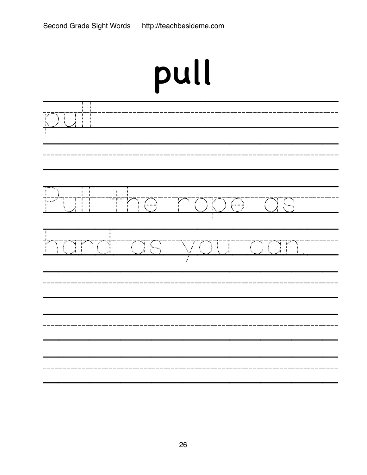# pull

| $\frac{1}{2}$                                                                                                                                                                                                                                                                                                                                                                                                                                                |                     |
|--------------------------------------------------------------------------------------------------------------------------------------------------------------------------------------------------------------------------------------------------------------------------------------------------------------------------------------------------------------------------------------------------------------------------------------------------------------|---------------------|
| $\overline{\mathbb{F}}$<br>T<br>$\begin{array}{c}\n\hline\n\\ \hline\n\\ \hline\n\\ \hline\n\\ \hline\n\\ \hline\n\\ \hline\n\\ \hline\n\\ \hline\n\\ \hline\n\\ \hline\n\\ \hline\n\\ \hline\n\\ \hline\n\\ \hline\n\\ \hline\n\\ \hline\n\\ \hline\n\\ \hline\n\\ \hline\n\\ \hline\n\\ \hline\n\\ \hline\n\\ \hline\n\\ \hline\n\\ \hline\n\\ \hline\n\\ \hline\n\\ \hline\n\\ \hline\n\\ \hline\n\\ \hline\n\\ \hline\n\\ \hline\n\\ \hline\n\\ \h$<br>Ť | <u> 10 Troperas</u> |
| <u>tora</u><br><u>tara</u><br>ľ                                                                                                                                                                                                                                                                                                                                                                                                                              | <u> IWOU TOAN</u>   |
|                                                                                                                                                                                                                                                                                                                                                                                                                                                              |                     |
|                                                                                                                                                                                                                                                                                                                                                                                                                                                              |                     |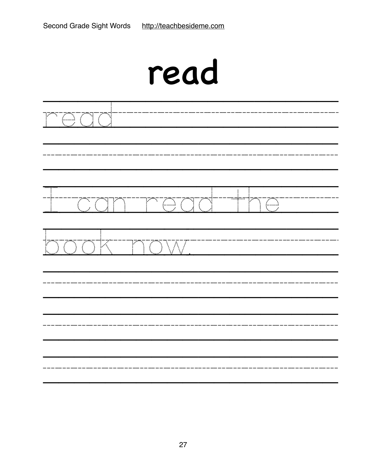| read                                                                                                                       |
|----------------------------------------------------------------------------------------------------------------------------|
| $\mathbb{Z}$                                                                                                               |
| $\sum_{i=1}^{n}$<br>$\overline{\mathbb{C}}$<br>٦<br>$\mathbb{Z}$<br>٠.<br>$\mathcal{L}^{\mathcal{L}}$<br>k.                |
| K<br>V<br>$\overline{\mathcal{P}}$<br>$\bar{\mathcal{L}}$<br>$\sum_{i=1}^{n}$<br>Į<br>$\bar{\rm W}$<br>$\bar{\mathcal{L}}$ |
|                                                                                                                            |
|                                                                                                                            |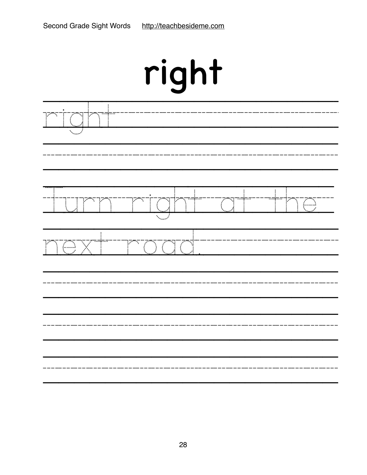| right |   |         |              |  |   |
|-------|---|---------|--------------|--|---|
|       |   |         |              |  |   |
| ٠.    |   | mç.     |              |  | ٦ |
|       | V | N,<br>f | Ţ<br>्<br>पु |  |   |
|       |   |         |              |  |   |
|       |   |         |              |  |   |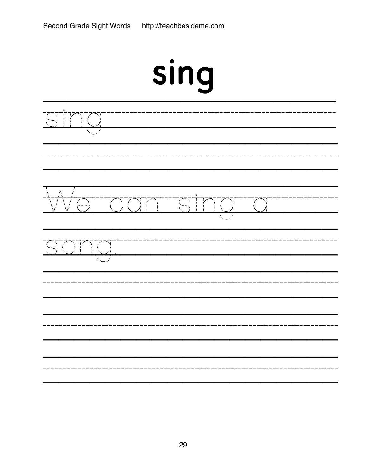| sing                                                                                                                            |  |  |  |  |
|---------------------------------------------------------------------------------------------------------------------------------|--|--|--|--|
| $\mathcal{E}_{\mathcal{A}}$<br>٦                                                                                                |  |  |  |  |
| 35<br>Ŷ,<br>٦<br>$\ddot{\phantom{a}}$<br>٦Ŷ,<br>Ĺ.,<br>فلمبر<br>t,<br>$\mathcal{E}_{\mathcal{E}}$<br>$\mathcal{N}_{\text{max}}$ |  |  |  |  |
| ۰.<br>$\frac{1}{2}$                                                                                                             |  |  |  |  |
|                                                                                                                                 |  |  |  |  |
| ------------                                                                                                                    |  |  |  |  |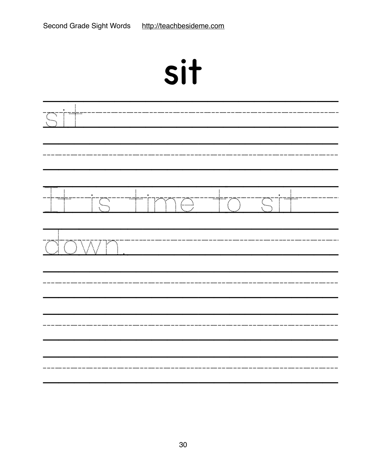| sit              |                 |           |  |                         |  |
|------------------|-----------------|-----------|--|-------------------------|--|
| $\mathbb{R}$     |                 |           |  |                         |  |
| <del></del>      | TS <sup>T</sup> | TIMOTTOTT |  | $\overline{\mathbb{C}}$ |  |
| $\sum_{i=1}^{n}$ | JWF<br>Ì        |           |  |                         |  |
|                  |                 |           |  |                         |  |
|                  |                 |           |  |                         |  |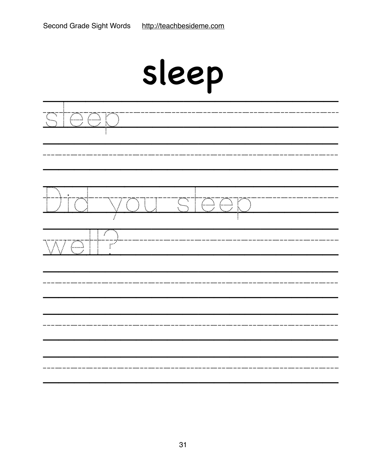|   | sleep                                     |                           |   |                                    |  |  |
|---|-------------------------------------------|---------------------------|---|------------------------------------|--|--|
| ٦ | $\bigoplus$<br>$\left(\frac{1}{2}\right)$ |                           |   |                                    |  |  |
|   | ZÑ<br>ŧ                                   | į<br>7                    | ् | OOK<br>$\mathcal{L}_{\mathcal{A}}$ |  |  |
|   | 755                                       | $\mathbf{r}^{\mathbf{r}}$ |   |                                    |  |  |
|   |                                           |                           |   |                                    |  |  |
|   |                                           |                           |   |                                    |  |  |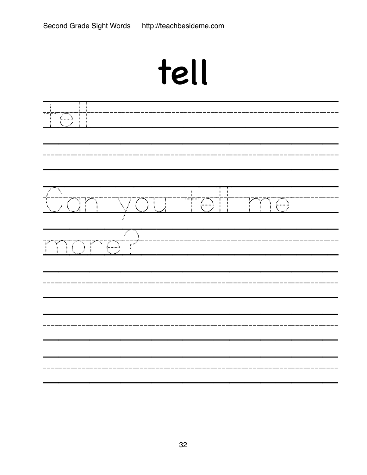# tell

| $\mathbb{C}^1$                  |                                                          |                                                                  |                          |  |
|---------------------------------|----------------------------------------------------------|------------------------------------------------------------------|--------------------------|--|
| ्<br>स<br><u>tuan</u>           | <u>VOU</u>                                               | $\begin{array}{c} \begin{array}{c} \top \end{array} \end{array}$ | TO<br>$\mathcal{L}$<br>Y |  |
| $\sum_{i=1}^{n}$<br>्लाहरू<br>स | $\overline{\phantom{a}}$<br>$\overline{\mathbb{C}}$<br>Ŧ |                                                                  |                          |  |
|                                 |                                                          |                                                                  |                          |  |
|                                 |                                                          |                                                                  |                          |  |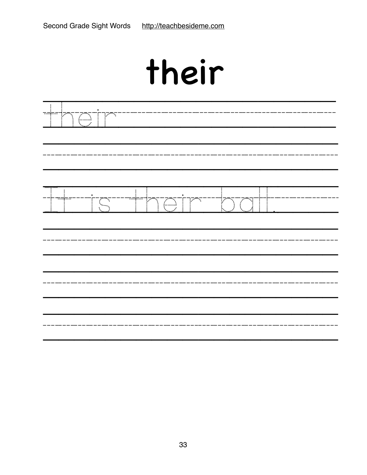## their

| $\overline{\cdots}$<br>h | <b>PAS</b><br>$\leftarrow$<br>$\vdots$ |                                                        |                     |  |
|--------------------------|----------------------------------------|--------------------------------------------------------|---------------------|--|
|                          |                                        | <b>PAS</b><br><del></del>                              | $\mathcal{G}$<br>Ń. |  |
|                          | $\mathbb{C}_{\mathbb{Q}}$              | $\overline{\mathbb{C}}$<br>$\mathcal{L}^{\mathcal{I}}$ |                     |  |
|                          |                                        |                                                        |                     |  |
|                          |                                        |                                                        |                     |  |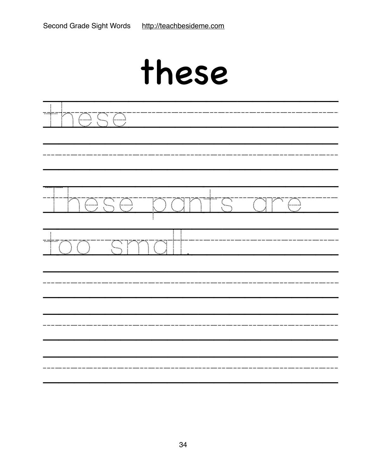### these

| 1000                |              |                               |     |  |  |  |
|---------------------|--------------|-------------------------------|-----|--|--|--|
| $\mathcal{C}$       | <u>TOSOS</u> | Ť<br>$\mathbb{C}$<br>XQT<br>Ţ | Tra |  |  |  |
| 可<br>$\mathbb{R}^2$ | ST<br>Ť      | ÷<br>$\sum_{i=1}^{n}$<br>J    |     |  |  |  |
|                     |              |                               |     |  |  |  |
|                     |              |                               |     |  |  |  |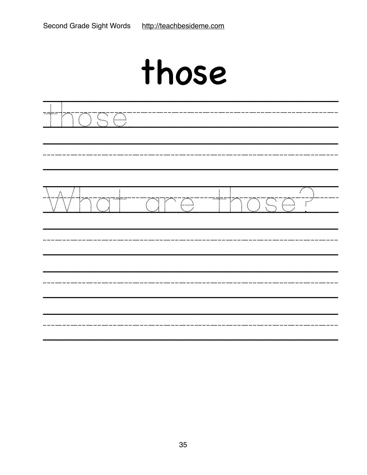### those

| حمزت<br>D TS C<br>$\frac{1}{2}$     |                                     |        |           |
|-------------------------------------|-------------------------------------|--------|-----------|
| $\overline{\mathbb{C}}$<br>$\vdots$ | $\textcircled{f}$<br>$\mathbb{R}^n$ | ™<br>! | SC<br>TP. |
|                                     |                                     |        |           |
|                                     |                                     |        |           |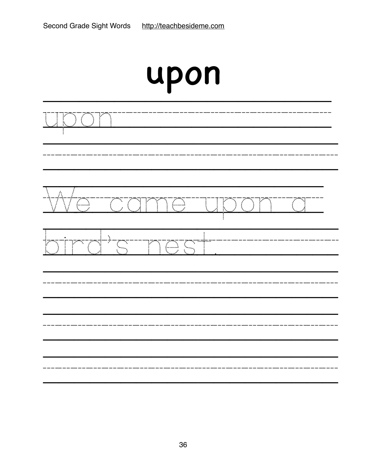| upon                                                                                                                                                                                              |              |                 |  |  |
|---------------------------------------------------------------------------------------------------------------------------------------------------------------------------------------------------|--------------|-----------------|--|--|
| ľ<br>٦                                                                                                                                                                                            |              |                 |  |  |
| Á<br>$\begin{array}{c} \overline{C} \ \overline{C} \end{array}$<br>775<br><br>Z<br>$\sum_{i=1}^{n}$<br>75<br>j<br>i<br>I<br>$\overline{\mathcal{L}}$<br>$\mathcal{L}^{\mathcal{L}}$               | l.<br>!<br>١ | <b>ZEN</b><br>À |  |  |
| Τ<br>Т,<br>$\mathcal{L}_{\mathcal{A}}$<br>V<br>$\mathcal{L}^{\mathcal{L}}$<br>Ç<br>$\mathcal{L}_{\mathcal{A}}$<br>١.<br>$\overline{\mathcal{L}_{\text{model}}}$<br>$\mathcal{P}$<br>$\mathcal{L}$ | नम∙          |                 |  |  |
|                                                                                                                                                                                                   |              |                 |  |  |
|                                                                                                                                                                                                   |              |                 |  |  |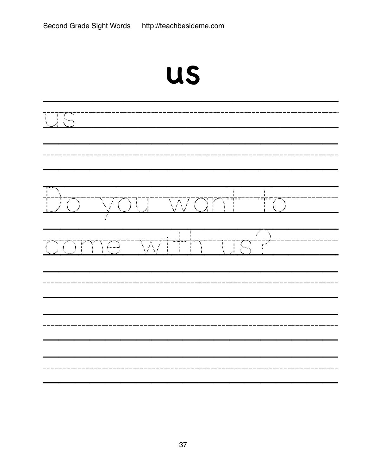| $\frac{1}{4}$<br>٦ |               |                         |                          |                           |                                                                                                                                                                                                                                  |  |
|--------------------|---------------|-------------------------|--------------------------|---------------------------|----------------------------------------------------------------------------------------------------------------------------------------------------------------------------------------------------------------------------------|--|
| $\frac{1}{1}$      | <u>"WOU"W</u> |                         |                          | T                         | T<br>٠.                                                                                                                                                                                                                          |  |
| i<br>:<br>:        | TO            | $\overline{\mathbb{W}}$ | ł<br>$\vdots$<br>™†<br>P | $\sqrt{\frac{1}{2}}$<br>Ţ | t e controllador de la partida de la controllada de la controllada de la controllada de la controllada de la c<br>La controllada de la controllada de la controllada de la controllada de la controllada de la controllada de la |  |
|                    |               |                         |                          |                           |                                                                                                                                                                                                                                  |  |
|                    |               |                         |                          |                           |                                                                                                                                                                                                                                  |  |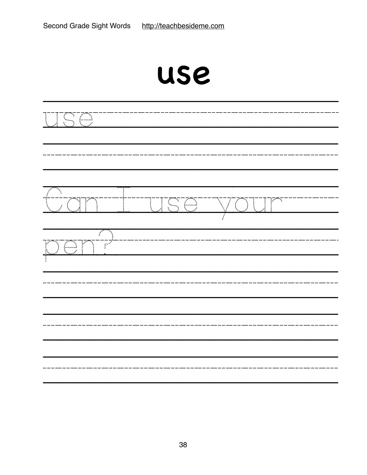|                                             | use                       |                                                             |  |  |  |
|---------------------------------------------|---------------------------|-------------------------------------------------------------|--|--|--|
| <u> ISC</u>                                 |                           |                                                             |  |  |  |
| Ñ,<br>to yang p<br>٦                        | 高荷<br>j<br>$\ddot{\cdot}$ | $\mathbb{F}$<br>ТŢ,<br>$\sum_{i=1}^{n}$<br>$\sum_{i=1}^{n}$ |  |  |  |
| فبمبر<br><u>TOT</u><br>$\mathbb{P}^2$<br>Ì, |                           |                                                             |  |  |  |
|                                             |                           |                                                             |  |  |  |
|                                             |                           |                                                             |  |  |  |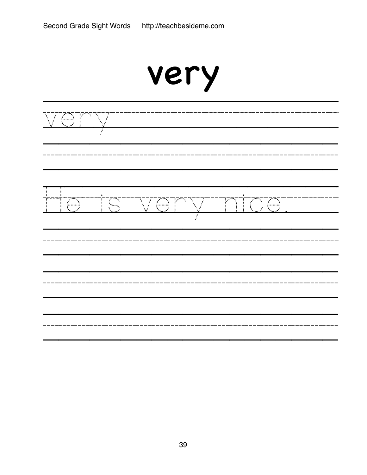|                                                                                      | very |                         |                        |  |  |
|--------------------------------------------------------------------------------------|------|-------------------------|------------------------|--|--|
| $\left(\begin{smallmatrix} 1 & 0 \\ 0 & 0 \end{smallmatrix}\right)$<br>$\mathcal{L}$ |      |                         |                        |  |  |
| $\left( \begin{matrix} 1 \\ 1 \end{matrix} \right)$                                  | Σ    | $\overline{\mathbb{C}}$ | $\mathbb{F}$<br>Σ<br>Œ |  |  |
|                                                                                      |      |                         |                        |  |  |
|                                                                                      |      |                         |                        |  |  |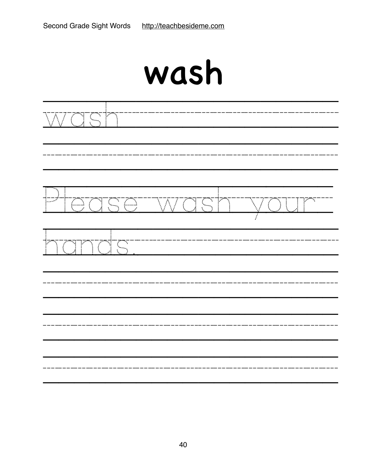| wash |
|------|
|------|

| <u> Mash</u>        |  |                        |  |  |  |  |
|---------------------|--|------------------------|--|--|--|--|
| <u>Hoase wash i</u> |  | $\int_0^\infty$<br>VOT |  |  |  |  |
| TOS<br>Y<br>IOT     |  |                        |  |  |  |  |
|                     |  |                        |  |  |  |  |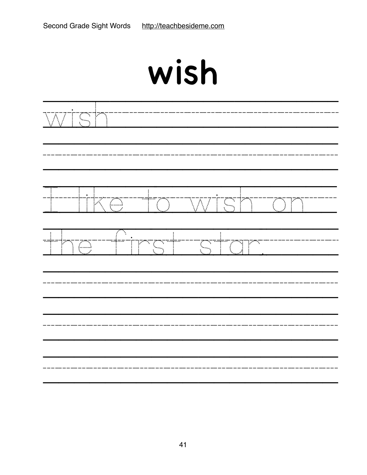| $\overline{\mathcal{N}}$     | TS P                       |                 |                                          |    |
|------------------------------|----------------------------|-----------------|------------------------------------------|----|
|                              | Ţ<br>KG<br>ŧ.              | TO <sup>1</sup> | IST<br>W<br>$\sum_{i=1}^{n}$             | Ì, |
| $\overline{\mathbb{F}}$<br>ł | $\overline{f}$<br>-4-<br>Œ | ™i™<br>T.<br>ľ  | T<br>$\mathbb{C}^{\mathbb{C}}$<br>F<br>Ñ |    |
|                              |                            |                 |                                          |    |
|                              |                            |                 |                                          |    |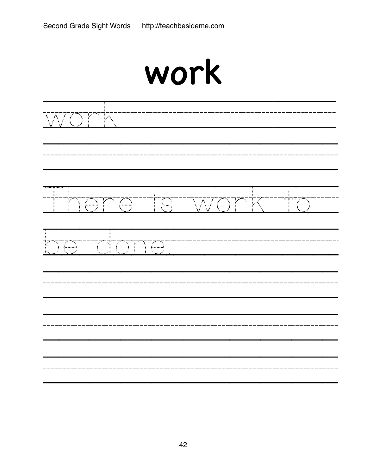| work |  |  |  |  |  |
|------|--|--|--|--|--|
|      |  |  |  |  |  |
|      |  |  |  |  |  |

-------------

------------

----

----

----

--------

be done.

----

----

——<br>———<br>———

——<br>———<br>———

 $- - -$ 

---

---

----

----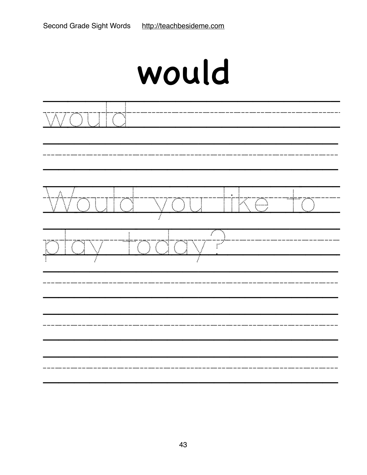| <u>WOUTO</u>                                                   |                        |                                                                                                                                                                                                                                                                                                                                                                 |  |
|----------------------------------------------------------------|------------------------|-----------------------------------------------------------------------------------------------------------------------------------------------------------------------------------------------------------------------------------------------------------------------------------------------------------------------------------------------------------------|--|
|                                                                | <u>outd vou tike t</u> | $\frac{1}{\sqrt{2}}\sum_{i=1}^{n-1} \frac{1}{\sqrt{2}}\sum_{i=1}^{n-1} \frac{1}{\sqrt{2}}\sum_{i=1}^{n-1} \frac{1}{\sqrt{2}}\sum_{i=1}^{n-1} \frac{1}{\sqrt{2}}\sum_{i=1}^{n-1} \frac{1}{\sqrt{2}}\sum_{i=1}^{n-1} \frac{1}{\sqrt{2}}\sum_{i=1}^{n-1} \frac{1}{\sqrt{2}}\sum_{i=1}^{n-1} \frac{1}{\sqrt{2}}\sum_{i=1}^{n-1} \frac{1}{\sqrt{2}}\sum_{i=1}^{n-1}$ |  |
| $\frac{1}{2}$<br>$\sum_{i=1}^{n}$<br>$\mathbb{C}^{\mathbb{C}}$ | <u> Xalay I</u>        |                                                                                                                                                                                                                                                                                                                                                                 |  |
|                                                                |                        |                                                                                                                                                                                                                                                                                                                                                                 |  |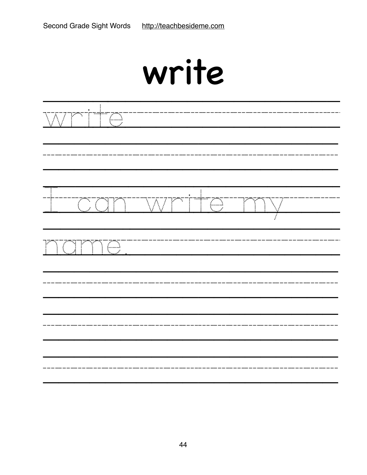| write |
|-------|
|       |

| $\overline{\mathcal{N}}$ | mç.<br>$\overline{\mathbb{C}}$      |    |    |                       |  |
|--------------------------|-------------------------------------|----|----|-----------------------|--|
|                          | <u>oan</u>                          | WM | TC | F<br>$\sum_{i=1}^{n}$ |  |
|                          | <u>TCI</u><br>TOT<br>$\overline{a}$ |    |    |                       |  |
|                          |                                     |    |    |                       |  |
|                          |                                     |    |    |                       |  |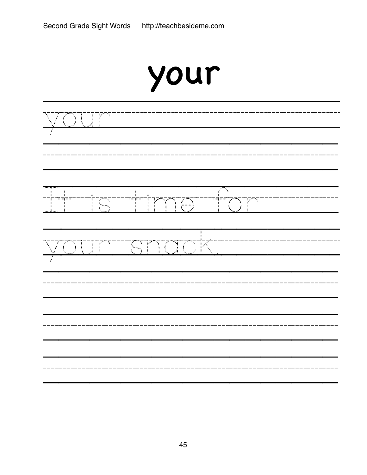| your                                                                                                                                                             |                  |  |  |
|------------------------------------------------------------------------------------------------------------------------------------------------------------------|------------------|--|--|
| के लिए                                                                                                                                                           |                  |  |  |
| ٠.<br>:'<br><del>ದದ್</del> ಯದದ<br>naşaa<br>$\overline{\mathbb{C}}$<br>N<br>Y<br>$\subset$<br>Ŧ<br>$\mathcal{L}$<br>ŧ.                                            | N<br>٦<br>أ<br>V |  |  |
| 77<br>$\overline{\mathbb{Z}}$<br>$\mathbb{R}$<br>F<br>$\mathbb{R}^2$<br>$\zeta_{\gamma}$<br>$\begin{array}{c} \vdots \\ \vdots \\ \vdots \end{array}$<br>Á<br>Ï. |                  |  |  |
|                                                                                                                                                                  |                  |  |  |
|                                                                                                                                                                  |                  |  |  |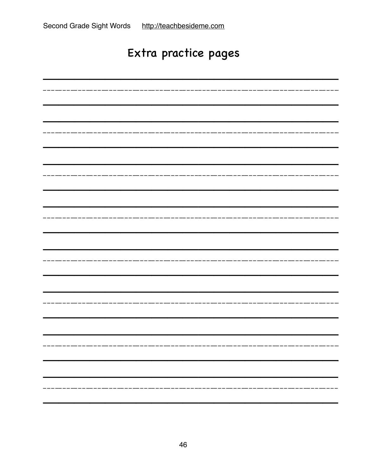#### Extra practice pages

| --------------                                        |
|-------------------------------------------------------|
|                                                       |
|                                                       |
|                                                       |
|                                                       |
|                                                       |
|                                                       |
|                                                       |
|                                                       |
| ----------------------                                |
|                                                       |
|                                                       |
|                                                       |
|                                                       |
|                                                       |
|                                                       |
|                                                       |
| --------------                                        |
|                                                       |
|                                                       |
|                                                       |
|                                                       |
|                                                       |
|                                                       |
|                                                       |
| -----------------------<br>__________                 |
|                                                       |
|                                                       |
|                                                       |
|                                                       |
|                                                       |
|                                                       |
|                                                       |
| . _ _ __ _ _ _ __ _ _ _ _ _ _ _ _ _ _<br>------------ |
|                                                       |
|                                                       |
|                                                       |
|                                                       |
|                                                       |
|                                                       |
|                                                       |
|                                                       |
|                                                       |
|                                                       |
|                                                       |
|                                                       |
|                                                       |
|                                                       |
|                                                       |
|                                                       |
|                                                       |
|                                                       |
|                                                       |
|                                                       |